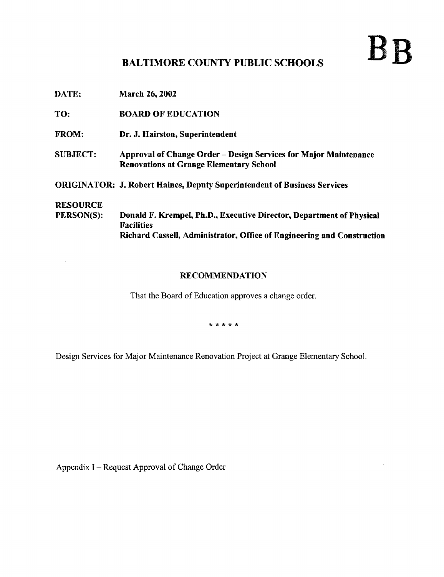## BALTIMORE COUNTY PUBLIC SCHOOLS

 ${\rm B} {\rm B}$ 

DATE: March 26, 2002

TO: BOARD OF EDUCATION

- FROM: Dr. J. Hairston, Superintendent
- SUBJECT: Approval of Change Order Design Services for Major Maintenance Renovations at Grange Elementary School

ORIGINATOR: J. Robert Raines, Deputy Superintendent of Business Services

# **RESOURCE**<br>PERSON(S):

 $\bar{z}$ 

Donald F. Krempel, Ph.D., Executive Director, Department of Physical Facilities Richard Cassell, Administrator, Office of Engineering and Construction

#### RECOMMENDATION

That the Board of Education approves <sup>a</sup> change order.

\* \* \* \* \*

Design Services for Major Maintenance Renovation Project at Grange Elementary School.

Appendix I - Request Approval of Change Order